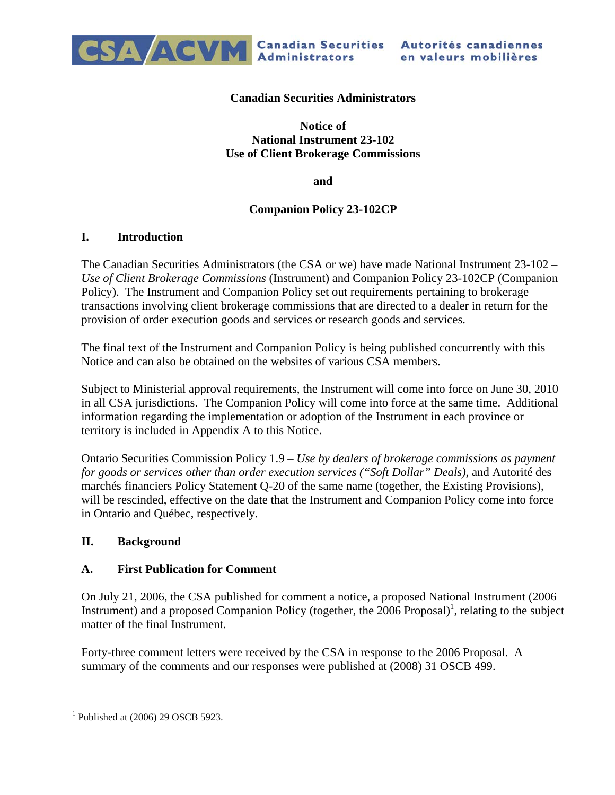

#### **Canadian Securities Administrators**

**Notice of National Instrument 23-102 Use of Client Brokerage Commissions** 

**and** 

### **Companion Policy 23-102CP**

#### **I. Introduction**

The Canadian Securities Administrators (the CSA or we) have made National Instrument 23-102 *– Use of Client Brokerage Commissions* (Instrument) and Companion Policy 23-102CP (Companion Policy). The Instrument and Companion Policy set out requirements pertaining to brokerage transactions involving client brokerage commissions that are directed to a dealer in return for the provision of order execution goods and services or research goods and services.

The final text of the Instrument and Companion Policy is being published concurrently with this Notice and can also be obtained on the websites of various CSA members.

Subject to Ministerial approval requirements, the Instrument will come into force on June 30, 2010 in all CSA jurisdictions. The Companion Policy will come into force at the same time. Additional information regarding the implementation or adoption of the Instrument in each province or territory is included in Appendix A to this Notice.

Ontario Securities Commission Policy 1.9 – *Use by dealers of brokerage commissions as payment for goods or services other than order execution services ("Soft Dollar" Deals)*, and Autorité des marchés financiers Policy Statement Q-20 of the same name (together, the Existing Provisions), will be rescinded, effective on the date that the Instrument and Companion Policy come into force in Ontario and Québec, respectively.

#### **II. Background**

#### **A. First Publication for Comment**

On July 21, 2006, the CSA published for comment a notice, a proposed National Instrument (2006 Instrument) and a proposed Companion Policy (together, the  $2006$  Proposal)<sup>1</sup>, relating to the subject matter of the final Instrument.

Forty-three comment letters were received by the CSA in response to the 2006 Proposal. A summary of the comments and our responses were published at (2008) 31 OSCB 499.

l

<sup>&</sup>lt;sup>1</sup> Published at  $(2006)$  29 OSCB 5923.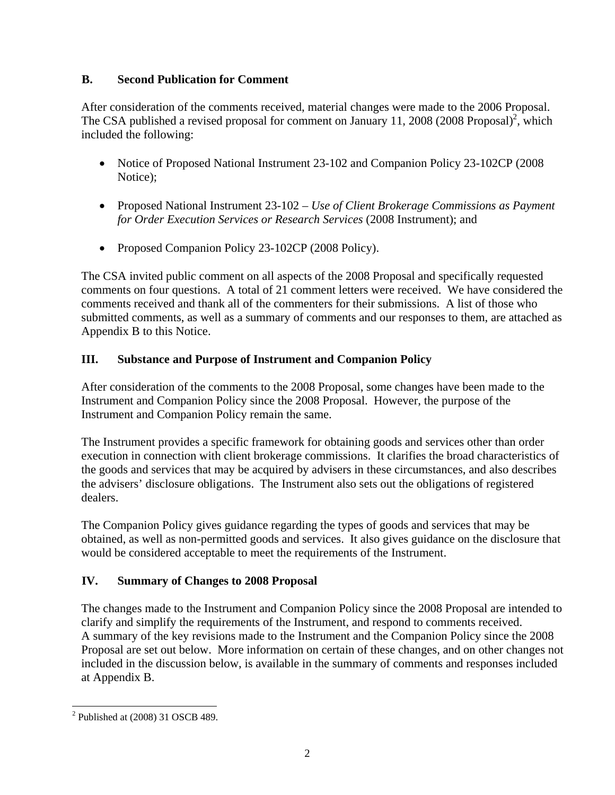## **B. Second Publication for Comment**

After consideration of the comments received, material changes were made to the 2006 Proposal. The CSA published a revised proposal for comment on January 11, 2008  $(2008 \text{ Proposal})^2$ , which included the following:

- Notice of Proposed National Instrument 23-102 and Companion Policy 23-102CP (2008) Notice);
- Proposed National Instrument 23-102 *Use of Client Brokerage Commissions as Payment for Order Execution Services or Research Services* (2008 Instrument); and
- Proposed Companion Policy 23-102CP (2008 Policy).

The CSA invited public comment on all aspects of the 2008 Proposal and specifically requested comments on four questions. A total of 21 comment letters were received. We have considered the comments received and thank all of the commenters for their submissions. A list of those who submitted comments, as well as a summary of comments and our responses to them, are attached as Appendix B to this Notice.

# **III. Substance and Purpose of Instrument and Companion Policy**

After consideration of the comments to the 2008 Proposal, some changes have been made to the Instrument and Companion Policy since the 2008 Proposal. However, the purpose of the Instrument and Companion Policy remain the same.

The Instrument provides a specific framework for obtaining goods and services other than order execution in connection with client brokerage commissions. It clarifies the broad characteristics of the goods and services that may be acquired by advisers in these circumstances, and also describes the advisers' disclosure obligations. The Instrument also sets out the obligations of registered dealers.

The Companion Policy gives guidance regarding the types of goods and services that may be obtained, as well as non-permitted goods and services. It also gives guidance on the disclosure that would be considered acceptable to meet the requirements of the Instrument.

# **IV. Summary of Changes to 2008 Proposal**

The changes made to the Instrument and Companion Policy since the 2008 Proposal are intended to clarify and simplify the requirements of the Instrument, and respond to comments received. A summary of the key revisions made to the Instrument and the Companion Policy since the 2008 Proposal are set out below. More information on certain of these changes, and on other changes not included in the discussion below, is available in the summary of comments and responses included at Appendix B.

l  $2$  Published at (2008) 31 OSCB 489.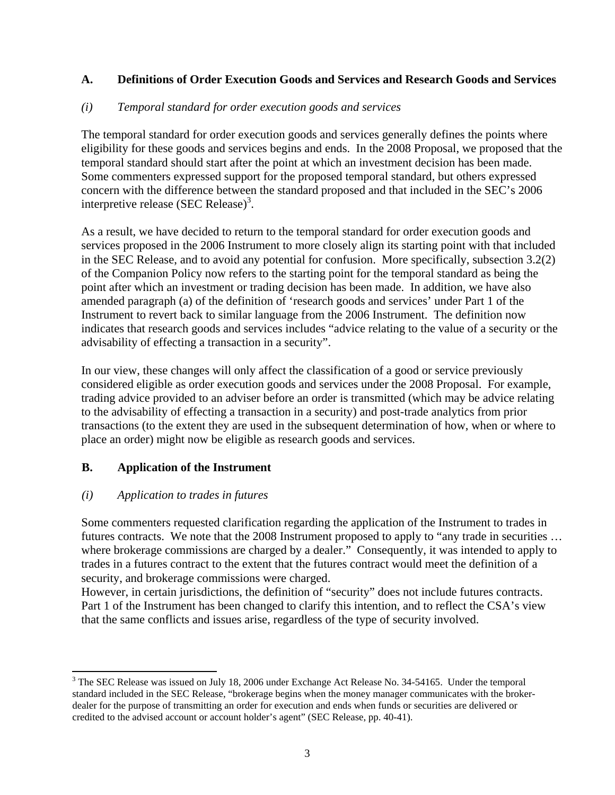## **A. Definitions of Order Execution Goods and Services and Research Goods and Services**

#### *(i) Temporal standard for order execution goods and services*

The temporal standard for order execution goods and services generally defines the points where eligibility for these goods and services begins and ends. In the 2008 Proposal, we proposed that the temporal standard should start after the point at which an investment decision has been made. Some commenters expressed support for the proposed temporal standard, but others expressed concern with the difference between the standard proposed and that included in the SEC's 2006 interpretive release (SEC Release)<sup>3</sup>.

As a result, we have decided to return to the temporal standard for order execution goods and services proposed in the 2006 Instrument to more closely align its starting point with that included in the SEC Release, and to avoid any potential for confusion. More specifically, subsection 3.2(2) of the Companion Policy now refers to the starting point for the temporal standard as being the point after which an investment or trading decision has been made. In addition, we have also amended paragraph (a) of the definition of 'research goods and services' under Part 1 of the Instrument to revert back to similar language from the 2006 Instrument. The definition now indicates that research goods and services includes "advice relating to the value of a security or the advisability of effecting a transaction in a security".

In our view, these changes will only affect the classification of a good or service previously considered eligible as order execution goods and services under the 2008 Proposal. For example, trading advice provided to an adviser before an order is transmitted (which may be advice relating to the advisability of effecting a transaction in a security) and post-trade analytics from prior transactions (to the extent they are used in the subsequent determination of how, when or where to place an order) might now be eligible as research goods and services.

#### **B. Application of the Instrument**

#### *(i) Application to trades in futures*

l

Some commenters requested clarification regarding the application of the Instrument to trades in futures contracts. We note that the 2008 Instrument proposed to apply to "any trade in securities … where brokerage commissions are charged by a dealer." Consequently, it was intended to apply to trades in a futures contract to the extent that the futures contract would meet the definition of a security, and brokerage commissions were charged.

However, in certain jurisdictions, the definition of "security" does not include futures contracts. Part 1 of the Instrument has been changed to clarify this intention, and to reflect the CSA's view that the same conflicts and issues arise, regardless of the type of security involved.

 $3$  The SEC Release was issued on July 18, 2006 under Exchange Act Release No. 34-54165. Under the temporal standard included in the SEC Release, "brokerage begins when the money manager communicates with the brokerdealer for the purpose of transmitting an order for execution and ends when funds or securities are delivered or credited to the advised account or account holder's agent" (SEC Release, pp. 40-41).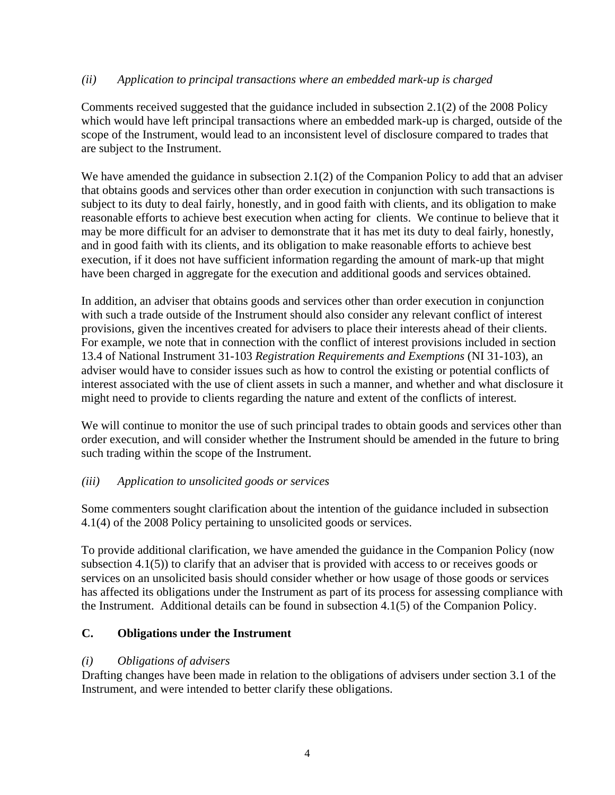## *(ii) Application to principal transactions where an embedded mark-up is charged*

Comments received suggested that the guidance included in subsection 2.1(2) of the 2008 Policy which would have left principal transactions where an embedded mark-up is charged, outside of the scope of the Instrument, would lead to an inconsistent level of disclosure compared to trades that are subject to the Instrument.

We have amended the guidance in subsection 2.1(2) of the Companion Policy to add that an adviser that obtains goods and services other than order execution in conjunction with such transactions is subject to its duty to deal fairly, honestly, and in good faith with clients, and its obligation to make reasonable efforts to achieve best execution when acting for clients. We continue to believe that it may be more difficult for an adviser to demonstrate that it has met its duty to deal fairly, honestly, and in good faith with its clients, and its obligation to make reasonable efforts to achieve best execution, if it does not have sufficient information regarding the amount of mark-up that might have been charged in aggregate for the execution and additional goods and services obtained.

In addition, an adviser that obtains goods and services other than order execution in conjunction with such a trade outside of the Instrument should also consider any relevant conflict of interest provisions, given the incentives created for advisers to place their interests ahead of their clients. For example, we note that in connection with the conflict of interest provisions included in section 13.4 of National Instrument 31-103 *Registration Requirements and Exemptions* (NI 31-103), an adviser would have to consider issues such as how to control the existing or potential conflicts of interest associated with the use of client assets in such a manner, and whether and what disclosure it might need to provide to clients regarding the nature and extent of the conflicts of interest*.* 

We will continue to monitor the use of such principal trades to obtain goods and services other than order execution, and will consider whether the Instrument should be amended in the future to bring such trading within the scope of the Instrument.

## *(iii) Application to unsolicited goods or services*

Some commenters sought clarification about the intention of the guidance included in subsection 4.1(4) of the 2008 Policy pertaining to unsolicited goods or services.

To provide additional clarification, we have amended the guidance in the Companion Policy (now subsection 4.1(5)) to clarify that an adviser that is provided with access to or receives goods or services on an unsolicited basis should consider whether or how usage of those goods or services has affected its obligations under the Instrument as part of its process for assessing compliance with the Instrument. Additional details can be found in subsection 4.1(5) of the Companion Policy.

## **C. Obligations under the Instrument**

## *(i) Obligations of advisers*

Drafting changes have been made in relation to the obligations of advisers under section 3.1 of the Instrument, and were intended to better clarify these obligations.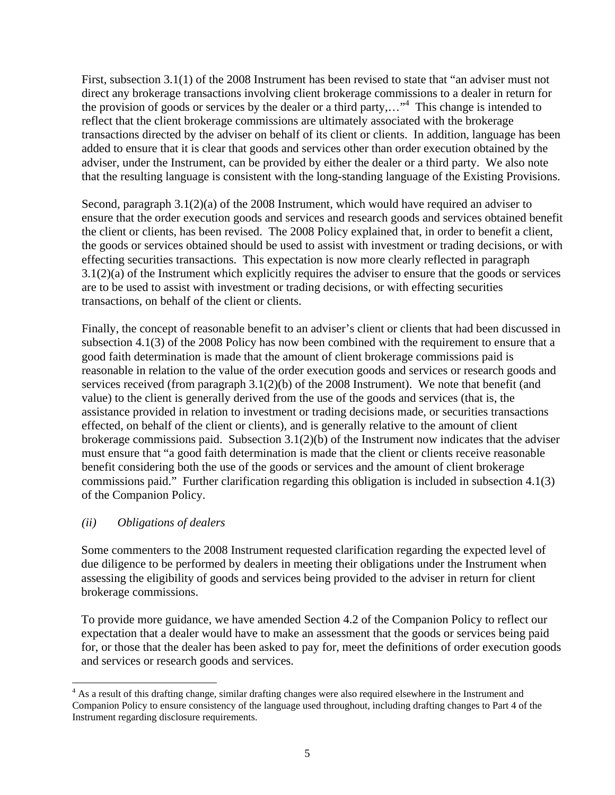First, subsection 3.1(1) of the 2008 Instrument has been revised to state that "an adviser must not direct any brokerage transactions involving client brokerage commissions to a dealer in return for the provision of goods or services by the dealer or a third party,..."<sup>4</sup> This change is intended to reflect that the client brokerage commissions are ultimately associated with the brokerage transactions directed by the adviser on behalf of its client or clients. In addition, language has been added to ensure that it is clear that goods and services other than order execution obtained by the adviser, under the Instrument, can be provided by either the dealer or a third party. We also note that the resulting language is consistent with the long-standing language of the Existing Provisions.

Second, paragraph 3.1(2)(a) of the 2008 Instrument, which would have required an adviser to ensure that the order execution goods and services and research goods and services obtained benefit the client or clients, has been revised. The 2008 Policy explained that, in order to benefit a client, the goods or services obtained should be used to assist with investment or trading decisions, or with effecting securities transactions. This expectation is now more clearly reflected in paragraph  $3.1(2)(a)$  of the Instrument which explicitly requires the adviser to ensure that the goods or services are to be used to assist with investment or trading decisions, or with effecting securities transactions, on behalf of the client or clients.

Finally, the concept of reasonable benefit to an adviser's client or clients that had been discussed in subsection 4.1(3) of the 2008 Policy has now been combined with the requirement to ensure that a good faith determination is made that the amount of client brokerage commissions paid is reasonable in relation to the value of the order execution goods and services or research goods and services received (from paragraph 3.1(2)(b) of the 2008 Instrument). We note that benefit (and value) to the client is generally derived from the use of the goods and services (that is, the assistance provided in relation to investment or trading decisions made, or securities transactions effected, on behalf of the client or clients), and is generally relative to the amount of client brokerage commissions paid. Subsection  $3.1(2)(b)$  of the Instrument now indicates that the adviser must ensure that "a good faith determination is made that the client or clients receive reasonable benefit considering both the use of the goods or services and the amount of client brokerage commissions paid." Further clarification regarding this obligation is included in subsection 4.1(3) of the Companion Policy.

## *(ii) Obligations of dealers*

Some commenters to the 2008 Instrument requested clarification regarding the expected level of due diligence to be performed by dealers in meeting their obligations under the Instrument when assessing the eligibility of goods and services being provided to the adviser in return for client brokerage commissions.

To provide more guidance, we have amended Section 4.2 of the Companion Policy to reflect our expectation that a dealer would have to make an assessment that the goods or services being paid for, or those that the dealer has been asked to pay for, meet the definitions of order execution goods and services or research goods and services.

<sup>&</sup>lt;sup>4</sup> As a result of this drafting change, similar drafting changes were also required elsewhere in the Instrument and Companion Policy to ensure consistency of the language used throughout, including drafting changes to Part 4 of the Instrument regarding disclosure requirements.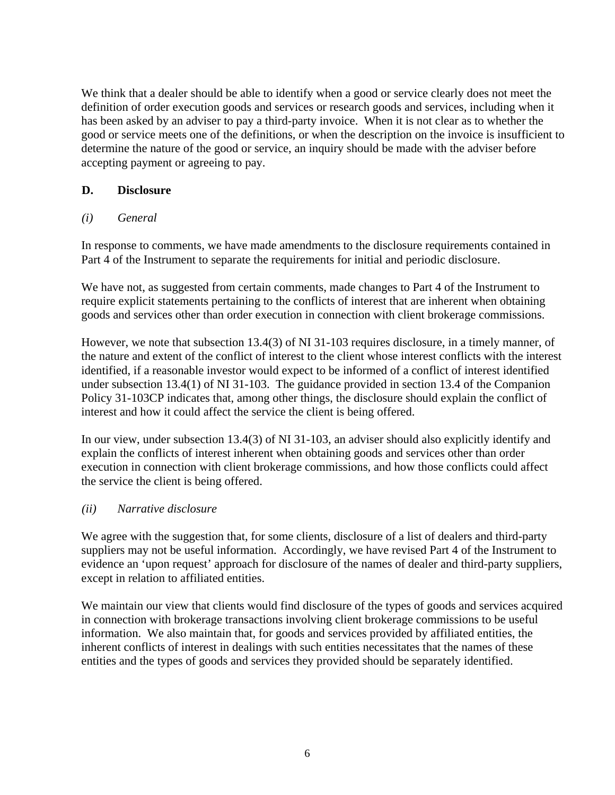We think that a dealer should be able to identify when a good or service clearly does not meet the definition of order execution goods and services or research goods and services, including when it has been asked by an adviser to pay a third-party invoice. When it is not clear as to whether the good or service meets one of the definitions, or when the description on the invoice is insufficient to determine the nature of the good or service, an inquiry should be made with the adviser before accepting payment or agreeing to pay.

### **D. Disclosure**

### *(i) General*

In response to comments, we have made amendments to the disclosure requirements contained in Part 4 of the Instrument to separate the requirements for initial and periodic disclosure.

We have not, as suggested from certain comments, made changes to Part 4 of the Instrument to require explicit statements pertaining to the conflicts of interest that are inherent when obtaining goods and services other than order execution in connection with client brokerage commissions.

However, we note that subsection 13.4(3) of NI 31-103 requires disclosure, in a timely manner, of the nature and extent of the conflict of interest to the client whose interest conflicts with the interest identified, if a reasonable investor would expect to be informed of a conflict of interest identified under subsection 13.4(1) of NI 31-103. The guidance provided in section 13.4 of the Companion Policy 31-103CP indicates that, among other things, the disclosure should explain the conflict of interest and how it could affect the service the client is being offered.

In our view, under subsection 13.4(3) of NI 31-103, an adviser should also explicitly identify and explain the conflicts of interest inherent when obtaining goods and services other than order execution in connection with client brokerage commissions, and how those conflicts could affect the service the client is being offered.

#### *(ii) Narrative disclosure*

We agree with the suggestion that, for some clients, disclosure of a list of dealers and third-party suppliers may not be useful information. Accordingly, we have revised Part 4 of the Instrument to evidence an 'upon request' approach for disclosure of the names of dealer and third-party suppliers, except in relation to affiliated entities.

We maintain our view that clients would find disclosure of the types of goods and services acquired in connection with brokerage transactions involving client brokerage commissions to be useful information. We also maintain that, for goods and services provided by affiliated entities, the inherent conflicts of interest in dealings with such entities necessitates that the names of these entities and the types of goods and services they provided should be separately identified.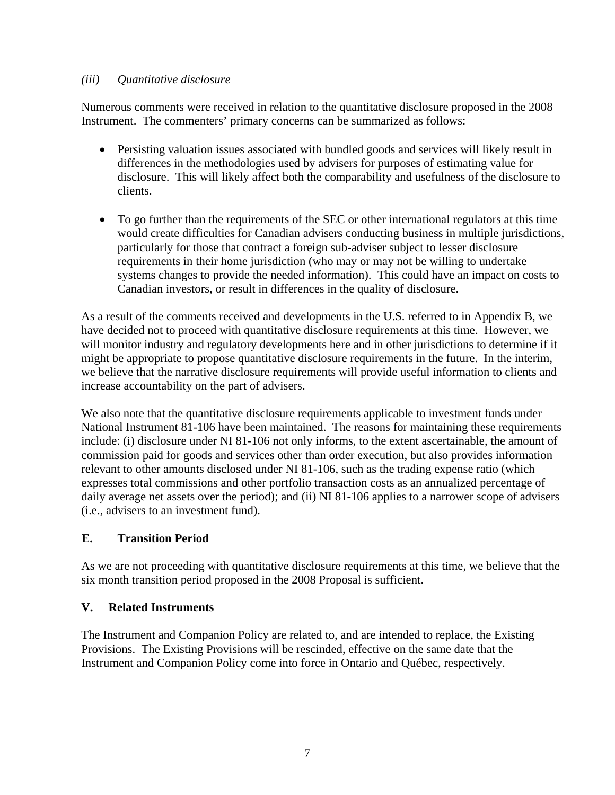## *(iii) Quantitative disclosure*

Numerous comments were received in relation to the quantitative disclosure proposed in the 2008 Instrument. The commenters' primary concerns can be summarized as follows:

- Persisting valuation issues associated with bundled goods and services will likely result in differences in the methodologies used by advisers for purposes of estimating value for disclosure. This will likely affect both the comparability and usefulness of the disclosure to clients.
- To go further than the requirements of the SEC or other international regulators at this time would create difficulties for Canadian advisers conducting business in multiple jurisdictions, particularly for those that contract a foreign sub-adviser subject to lesser disclosure requirements in their home jurisdiction (who may or may not be willing to undertake systems changes to provide the needed information). This could have an impact on costs to Canadian investors, or result in differences in the quality of disclosure.

As a result of the comments received and developments in the U.S. referred to in Appendix B, we have decided not to proceed with quantitative disclosure requirements at this time. However, we will monitor industry and regulatory developments here and in other jurisdictions to determine if it might be appropriate to propose quantitative disclosure requirements in the future. In the interim, we believe that the narrative disclosure requirements will provide useful information to clients and increase accountability on the part of advisers.

We also note that the quantitative disclosure requirements applicable to investment funds under National Instrument 81-106 have been maintained. The reasons for maintaining these requirements include: (i) disclosure under NI 81-106 not only informs, to the extent ascertainable, the amount of commission paid for goods and services other than order execution, but also provides information relevant to other amounts disclosed under NI 81-106, such as the trading expense ratio (which expresses total commissions and other portfolio transaction costs as an annualized percentage of daily average net assets over the period); and (ii) NI 81-106 applies to a narrower scope of advisers (i.e., advisers to an investment fund).

# **E. Transition Period**

As we are not proceeding with quantitative disclosure requirements at this time, we believe that the six month transition period proposed in the 2008 Proposal is sufficient.

# **V. Related Instruments**

The Instrument and Companion Policy are related to, and are intended to replace, the Existing Provisions. The Existing Provisions will be rescinded, effective on the same date that the Instrument and Companion Policy come into force in Ontario and Québec, respectively.